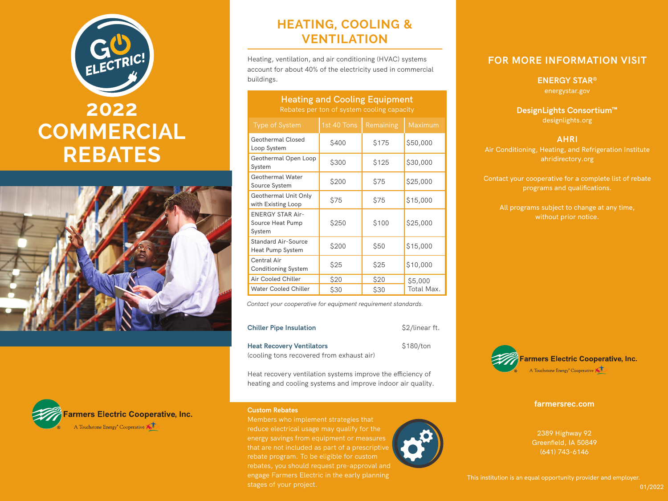# ELECTRIC! **2022 COMMERCIAL REBATES**





## **HEATING, COOLING & VENTILATION**

Heating, ventilation, and air conditioning (HVAC) systems account for about 40% of the electricity used in commercial buildings.

**Heating and Cooling Equipment**

| <b>Heating and Cooling Equipment</b><br>Rebates per ton of system cooling capacity |             |           |            |  |  |  |  |
|------------------------------------------------------------------------------------|-------------|-----------|------------|--|--|--|--|
| <b>Type of System</b>                                                              | 1st 40 Tons | Remaining | Maximum    |  |  |  |  |
| <b>Geothermal Closed</b><br>Loop System                                            | \$400       | \$175     | \$50,000   |  |  |  |  |
| Geothermal Open Loop<br>System                                                     | \$300       | \$125     | \$30,000   |  |  |  |  |
| <b>Geothermal Water</b><br>Source System                                           | \$200       | \$75      | \$25,000   |  |  |  |  |
| Geothermal Unit Only<br>with Existing Loop                                         | \$75        | \$75      | \$15,000   |  |  |  |  |
| <b>ENERGY STAR Air-</b><br>Source Heat Pump<br>System                              | \$250       | \$100     | \$25,000   |  |  |  |  |
| <b>Standard Air-Source</b><br><b>Heat Pump System</b>                              | \$200       | \$50      | \$15,000   |  |  |  |  |
| Central Air<br><b>Conditioning System</b>                                          | \$25        | \$25      | \$10,000   |  |  |  |  |
| Air Cooled Chiller                                                                 | \$20        | \$20      | \$5,000    |  |  |  |  |
| <b>Water Cooled Chiller</b>                                                        | \$30        | \$30      | Total Max. |  |  |  |  |

*Contact your cooperative for equipment requirement standards.*

| <b>Chiller Pipe Insulation</b>            | \$2/linear ft. |
|-------------------------------------------|----------------|
| <b>Heat Recovery Ventilators</b>          | \$180/ton      |
| (cooling tons recovered from exhaust air) |                |

Heat recovery ventilation systems improve the efficiency of heating and cooling systems and improve indoor air quality.

#### **Custom Rebates**

Members who implement strategies that reduce electrical usage may qualify for the energy savings from equipment or measures rebate program. To be eligible for custom rebates, you should request pre-approval and engage Farmers Electric in the early planning stages of your project.



### **FOR MORE INFORMATION VISIT**

**ENERGY STAR®** energystar.gov

**DesignLights Consortium™** designlights.org

#### **AHRI**

Air Conditioning, Heating, and Refrigeration Institute ahridirectory.org

Contact your cooperative for a complete list of rebate programs and qualifications.

All programs subject to change at any time, without prior notice.



**farmersrec.com**

2389 Highway 92 Greenfield, IA 50849 (641) 743-6146

This institution is an equal opportunity provider and employer.